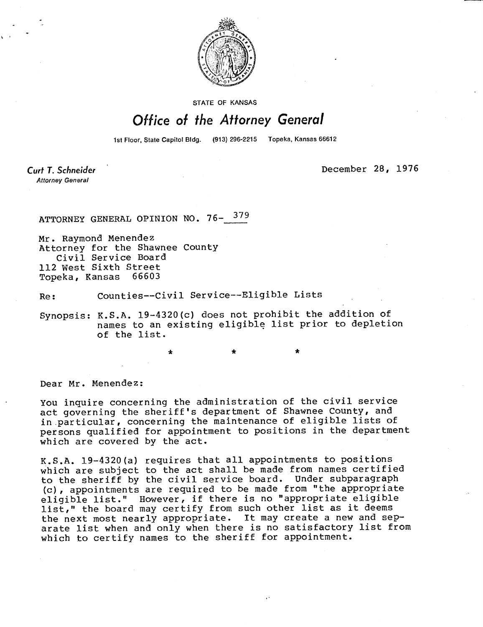

STATE OF KANSAS

## Office of the Attorney General

1st Floor, State Capitol Bldg. (913) 296-2215 Topeka, Kansas 66612

Curt T. Schneider **Attorney General** 

December 28, 1976

ATTORNEY GENERAL OPINION NO. 76- 379

Mr. Raymond Menendez Attorney for the Shawnee County Civil Service Board 112 West Sixth Street Topeka, Kansas 66603

Re: Counties--Civil Service--Eligible Lists

\*

Synopsis: K.S.A. 19-4320(c) does not prohibit the addition of names to an existing eligible list prior to depletion of the list.

Dear Mr. Menendez:

You inquire concerning the administration of the civil service act governing the sheriff's department of Shawnee County, and in particular, concerning the maintenance of eligible lists of persons qualified for appointment to positions in the department which are covered by the act.

K.S.A. 19-4320(a) requires that all appointments to positions which are subject to the act shall be made from names certified to the sheriff by the civil service board. Under subparagraph (c), appointments are required to be made from "the appropriate eligible list." However, if there is no "appropriate eligible list," the board may certify from such other list as it deems the next most nearly appropriate. It may create a new and separate list when and only when there is no satisfactory list from which to certify names to the sheriff for appointment.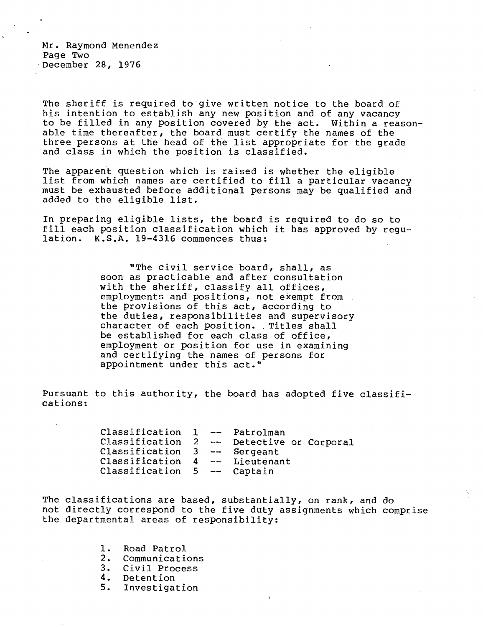Mr. Raymond Menendez Page Two December 28, 1976

The sheriff is required to give written notice to the board of his intention to establish any new position and of any vacancy to be filled in any position covered by the act. Within a reasonable time thereafter, the board must certify the names of the three persons at the head of the list appropriate for the grade and class in which the position is classified.

The apparent question which is raised is whether the eligible list from which names are certified to fill a particular vacancy must be exhausted before additional persons may be qualified and added to the eligible list.

In preparing eligible lists, the board is required to do so to fill each position classification which it has approved by regulation. K.S.A. 19-4316 commences thus:

> "The civil service board, shall, as soon as practicable and after consultation with the sheriff, classify all offices, employments and positions, not exempt from the provisions of this act, according to the duties, responsibilities and supervisory character of each position. Titles shall be established for each class of office, employment or position for use in examining and certifying the names of persons for appointment under this act."

Pursuant to this authority, the board has adopted five classifications:

> Classification 1 -- Patrolman Classification 2 -- Detective or Corporal Classification 3 -- Sergeant Classification 4 -- Lieutenant Classification 5 -- Captain

The classifications are based, substantially, on rank, and do not directly correspond to the five duty assignments which comprise the departmental areas of responsibility:

- 1. Road Patrol
- 2. Communications<br>3. Civil Process
- Civil Process
- 4. Detention<br>5. Investigat
- 5. Investigation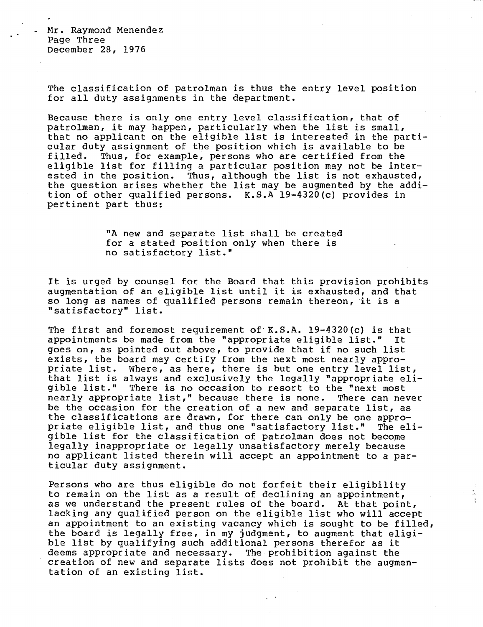Mr. Raymond Menendez Page Three December 28, 1976

 $\Delta$ 

The classification of patrolman is thus the entry level position for all duty assignments in the department.

Because there is only one entry level classification, that of patrolman, it may happen, particularly when the list is small, that no applicant on the eligible list is interested in the particular duty assignment of the position which is available to be filled. Thus, for example, persons who are certified from the eligible list for filling a particular position may not be interested in the position. Thus, although the list is not exhausted, the question arises whether the list may be augmented by the addition of other qualified persons. K.S.A 19-4320(c) provides in pertinent part thus:

> "A new and separate list shall be created for a stated position only when there is no satisfactory list."

It is urged by counsel for the Board that this provision prohibits augmentation of an eligible list until it is exhausted, and that so long as names of qualified persons remain thereon, it is a "satisfactory" list.

The first and foremost requirement of  $K.S.A. 19-4320(c)$  is that appointments be made from the "appropriate eligible list." It goes on, as pointed out above, to provide that if no such list exists, the board may certify from the next most nearly appropriate list. Where, as here, there is but one entry level list, that list is always and exclusively the legally "appropriate eligible list." There is no occasion to resort to the "next most nearly appropriate list," because there is none. There can never be the occasion for the creation of a new and separate list, as the classifications are drawn, for there can only be one appropriate eligible list, and thus one "satisfactory list." The eligible list for the classification of patrolman does not become legally inappropriate or legally unsatisfactory merely because no applicant listed therein will accept an appointment to a particular duty assignment.

Persons who are thus eligible do not forfeit their eligibility to remain on the list as a result of declining an appointment, as we understand the present rules of the board. At that point, lacking any qualified person on the eligible list who will accept an appointment to an existing vacancy which is sought to be filled, the board is legally free, in my judgment, to augment that eligible list by qualifying such additional persons therefor as it deems appropriate and necessary. The prohibition against the creation of new and separate lists does not prohibit the augmentation of an existing list.